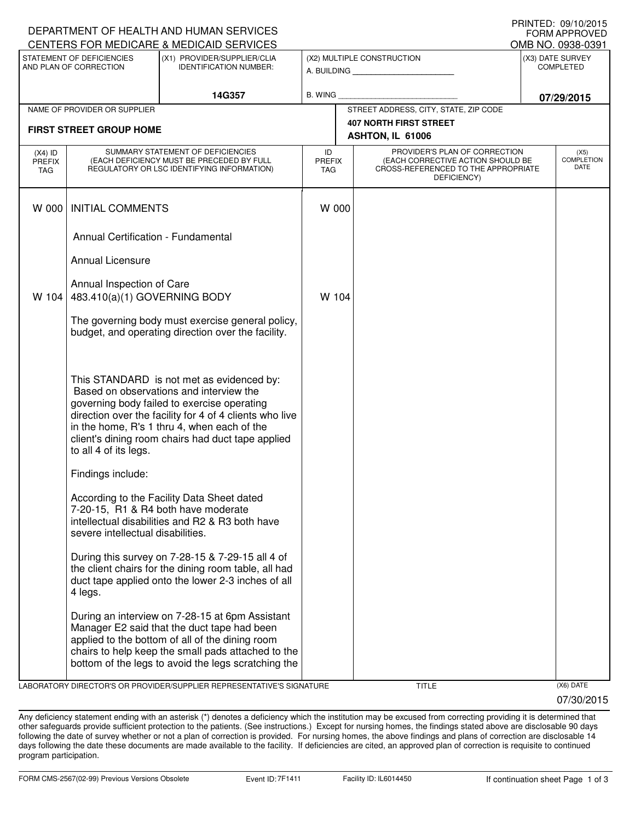|                                                                                                                     |                                                           | DEPARTMENT OF HEALTH AND HUMAN SERVICES                                                                                                                                                                                                                                                            |                                   |                                                              |                                                                                                                          |            | <b>FORM APPROVED</b>              |  |
|---------------------------------------------------------------------------------------------------------------------|-----------------------------------------------------------|----------------------------------------------------------------------------------------------------------------------------------------------------------------------------------------------------------------------------------------------------------------------------------------------------|-----------------------------------|--------------------------------------------------------------|--------------------------------------------------------------------------------------------------------------------------|------------|-----------------------------------|--|
| CENTERS FOR MEDICARE & MEDICAID SERVICES                                                                            |                                                           |                                                                                                                                                                                                                                                                                                    |                                   |                                                              |                                                                                                                          |            | OMB NO. 0938-0391                 |  |
| STATEMENT OF DEFICIENCIES<br>(X1) PROVIDER/SUPPLIER/CLIA<br>AND PLAN OF CORRECTION<br><b>IDENTIFICATION NUMBER:</b> |                                                           |                                                                                                                                                                                                                                                                                                    |                                   | (X2) MULTIPLE CONSTRUCTION<br>A. BUILDING <b>A. BUILDING</b> | (X3) DATE SURVEY<br><b>COMPLETED</b>                                                                                     |            |                                   |  |
|                                                                                                                     | 14G357                                                    |                                                                                                                                                                                                                                                                                                    | <b>B. WING</b>                    |                                                              |                                                                                                                          | 07/29/2015 |                                   |  |
|                                                                                                                     | NAME OF PROVIDER OR SUPPLIER                              |                                                                                                                                                                                                                                                                                                    |                                   |                                                              | STREET ADDRESS, CITY, STATE, ZIP CODE                                                                                    |            |                                   |  |
|                                                                                                                     | <b>FIRST STREET GROUP HOME</b>                            |                                                                                                                                                                                                                                                                                                    |                                   |                                                              | <b>407 NORTH FIRST STREET</b><br>ASHTON, IL 61006                                                                        |            |                                   |  |
| $(X4)$ ID<br><b>PREFIX</b><br>TAG                                                                                   |                                                           | SUMMARY STATEMENT OF DEFICIENCIES<br>(EACH DEFICIENCY MUST BE PRECEDED BY FULL<br>REGULATORY OR LSC IDENTIFYING INFORMATION)                                                                                                                                                                       | ID<br><b>PREFIX</b><br><b>TAG</b> |                                                              | PROVIDER'S PLAN OF CORRECTION<br>(EACH CORRECTIVE ACTION SHOULD BE<br>CROSS-REFERENCED TO THE APPROPRIATE<br>DEFICIENCY) |            | (X5)<br><b>COMPLETION</b><br>DATE |  |
| W 000                                                                                                               | <b>INITIAL COMMENTS</b>                                   |                                                                                                                                                                                                                                                                                                    |                                   | W 000                                                        |                                                                                                                          |            |                                   |  |
|                                                                                                                     | Annual Certification - Fundamental                        |                                                                                                                                                                                                                                                                                                    |                                   |                                                              |                                                                                                                          |            |                                   |  |
|                                                                                                                     | Annual Licensure                                          |                                                                                                                                                                                                                                                                                                    |                                   |                                                              |                                                                                                                          |            |                                   |  |
| W 104                                                                                                               | Annual Inspection of Care<br>483.410(a)(1) GOVERNING BODY |                                                                                                                                                                                                                                                                                                    | W 104                             |                                                              |                                                                                                                          |            |                                   |  |
|                                                                                                                     |                                                           | The governing body must exercise general policy,<br>budget, and operating direction over the facility.                                                                                                                                                                                             |                                   |                                                              |                                                                                                                          |            |                                   |  |
|                                                                                                                     | to all 4 of its legs.                                     | This STANDARD is not met as evidenced by:<br>Based on observations and interview the<br>governing body failed to exercise operating<br>direction over the facility for 4 of 4 clients who live<br>in the home, R's 1 thru 4, when each of the<br>client's dining room chairs had duct tape applied |                                   |                                                              |                                                                                                                          |            |                                   |  |
|                                                                                                                     | Findings include:                                         |                                                                                                                                                                                                                                                                                                    |                                   |                                                              |                                                                                                                          |            |                                   |  |
|                                                                                                                     | severe intellectual disabilities.                         | According to the Facility Data Sheet dated<br>7-20-15, R1 & R4 both have moderate<br>intellectual disabilities and R2 & R3 both have                                                                                                                                                               |                                   |                                                              |                                                                                                                          |            |                                   |  |
|                                                                                                                     | 4 legs.                                                   | During this survey on 7-28-15 & 7-29-15 all 4 of<br>the client chairs for the dining room table, all had<br>duct tape applied onto the lower 2-3 inches of all                                                                                                                                     |                                   |                                                              |                                                                                                                          |            |                                   |  |
|                                                                                                                     |                                                           | During an interview on 7-28-15 at 6pm Assistant<br>Manager E2 said that the duct tape had been<br>applied to the bottom of all of the dining room<br>chairs to help keep the small pads attached to the<br>bottom of the legs to avoid the legs scratching the                                     |                                   |                                                              |                                                                                                                          |            |                                   |  |
|                                                                                                                     |                                                           |                                                                                                                                                                                                                                                                                                    |                                   |                                                              |                                                                                                                          |            |                                   |  |

LABORATORY DIRECTOR'S OR PROVIDER/SUPPLIER REPRESENTATIVE'S SIGNATURE TITLE TITLE THE TITLE (X6) DATE

DEPARTMENT OF HEALTH AND HUMAN SERVICES

07/30/2015

PRINTED: 09/10/2015

Any deficiency statement ending with an asterisk (\*) denotes a deficiency which the institution may be excused from correcting providing it is determined that other safeguards provide sufficient protection to the patients. (See instructions.) Except for nursing homes, the findings stated above are disclosable 90 days following the date of survey whether or not a plan of correction is provided. For nursing homes, the above findings and plans of correction are disclosable 14 days following the date these documents are made available to the facility. If deficiencies are cited, an approved plan of correction is requisite to continued program participation.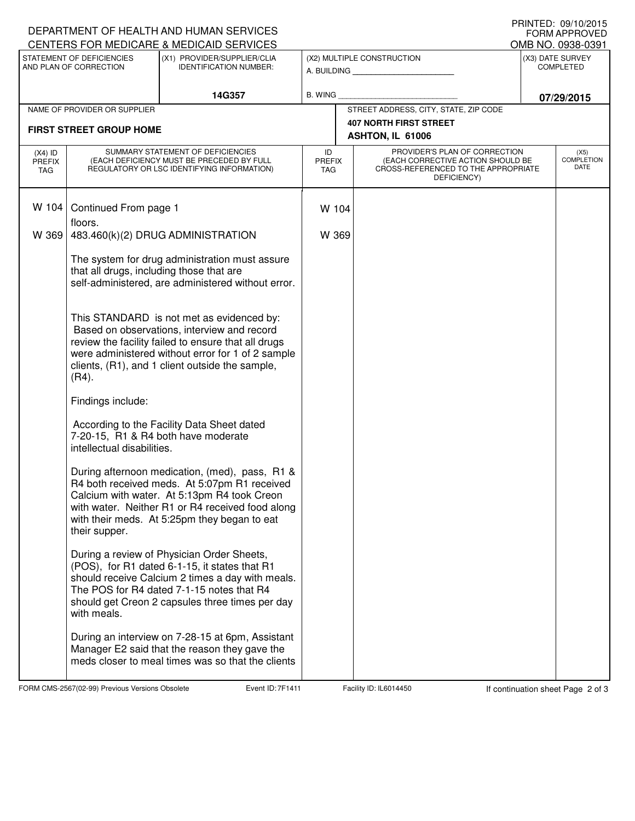| DEPARTMENT OF HEALTH AND HUMAN SERVICES                                                              | FRINTED. 09/10/2013<br><b>FORM APPROVED</b>                                                                                                                                                                                                                         |                                                                                                                                                                                                                                                   |                                   |                                                   |                                                                                                                                                               |                                       |  |  |
|------------------------------------------------------------------------------------------------------|---------------------------------------------------------------------------------------------------------------------------------------------------------------------------------------------------------------------------------------------------------------------|---------------------------------------------------------------------------------------------------------------------------------------------------------------------------------------------------------------------------------------------------|-----------------------------------|---------------------------------------------------|---------------------------------------------------------------------------------------------------------------------------------------------------------------|---------------------------------------|--|--|
| CENTERS FOR MEDICARE & MEDICAID SERVICES<br>STATEMENT OF DEFICIENCIES<br>(X1) PROVIDER/SUPPLIER/CLIA |                                                                                                                                                                                                                                                                     |                                                                                                                                                                                                                                                   | (X2) MULTIPLE CONSTRUCTION        |                                                   |                                                                                                                                                               | OMB NO. 0938-0391<br>(X3) DATE SURVEY |  |  |
| AND PLAN OF CORRECTION                                                                               |                                                                                                                                                                                                                                                                     | <b>IDENTIFICATION NUMBER:</b>                                                                                                                                                                                                                     |                                   |                                                   | A. BUILDING                                                                                                                                                   | <b>COMPLETED</b>                      |  |  |
|                                                                                                      |                                                                                                                                                                                                                                                                     | 14G357                                                                                                                                                                                                                                            | <b>B. WING</b>                    |                                                   |                                                                                                                                                               | 07/29/2015                            |  |  |
|                                                                                                      | NAME OF PROVIDER OR SUPPLIER                                                                                                                                                                                                                                        |                                                                                                                                                                                                                                                   |                                   |                                                   | STREET ADDRESS, CITY, STATE, ZIP CODE                                                                                                                         |                                       |  |  |
|                                                                                                      | <b>FIRST STREET GROUP HOME</b>                                                                                                                                                                                                                                      |                                                                                                                                                                                                                                                   |                                   | <b>407 NORTH FIRST STREET</b><br>ASHTON, IL 61006 |                                                                                                                                                               |                                       |  |  |
| $(X4)$ ID<br><b>PREFIX</b><br>TAG                                                                    | SUMMARY STATEMENT OF DEFICIENCIES<br>(EACH DEFICIENCY MUST BE PRECEDED BY FULL<br>REGULATORY OR LSC IDENTIFYING INFORMATION)                                                                                                                                        |                                                                                                                                                                                                                                                   | ID<br><b>PREFIX</b><br><b>TAG</b> |                                                   | PROVIDER'S PLAN OF CORRECTION<br>(X5)<br><b>COMPLETION</b><br>(EACH CORRECTIVE ACTION SHOULD BE<br>DATE<br>CROSS-REFERENCED TO THE APPROPRIATE<br>DEFICIENCY) |                                       |  |  |
| W 104                                                                                                | Continued From page 1                                                                                                                                                                                                                                               |                                                                                                                                                                                                                                                   | W 104                             |                                                   |                                                                                                                                                               |                                       |  |  |
| W 369                                                                                                | floors.<br>483.460(k)(2) DRUG ADMINISTRATION                                                                                                                                                                                                                        |                                                                                                                                                                                                                                                   | W 369                             |                                                   |                                                                                                                                                               |                                       |  |  |
|                                                                                                      | The system for drug administration must assure<br>that all drugs, including those that are<br>self-administered, are administered without error.                                                                                                                    |                                                                                                                                                                                                                                                   |                                   |                                                   |                                                                                                                                                               |                                       |  |  |
|                                                                                                      | This STANDARD is not met as evidenced by:<br>Based on observations, interview and record<br>review the facility failed to ensure that all drugs<br>were administered without error for 1 of 2 sample<br>clients, (R1), and 1 client outside the sample,<br>$(R4)$ . |                                                                                                                                                                                                                                                   |                                   |                                                   |                                                                                                                                                               |                                       |  |  |
|                                                                                                      | Findings include:                                                                                                                                                                                                                                                   |                                                                                                                                                                                                                                                   |                                   |                                                   |                                                                                                                                                               |                                       |  |  |
|                                                                                                      | intellectual disabilities.                                                                                                                                                                                                                                          | According to the Facility Data Sheet dated<br>7-20-15, R1 & R4 both have moderate                                                                                                                                                                 |                                   |                                                   |                                                                                                                                                               |                                       |  |  |
|                                                                                                      | their supper.                                                                                                                                                                                                                                                       | During afternoon medication, (med), pass, R1 &<br>R4 both received meds. At 5:07pm R1 received<br>Calcium with water. At 5:13pm R4 took Creon<br>with water. Neither R1 or R4 received food along<br>with their meds. At 5:25pm they began to eat |                                   |                                                   |                                                                                                                                                               |                                       |  |  |
|                                                                                                      | with meals.                                                                                                                                                                                                                                                         | During a review of Physician Order Sheets,<br>(POS), for R1 dated 6-1-15, it states that R1<br>should receive Calcium 2 times a day with meals.<br>The POS for R4 dated 7-1-15 notes that R4<br>should get Creon 2 capsules three times per day   |                                   |                                                   |                                                                                                                                                               |                                       |  |  |
|                                                                                                      |                                                                                                                                                                                                                                                                     | During an interview on 7-28-15 at 6pm, Assistant<br>Manager E2 said that the reason they gave the<br>meds closer to meal times was so that the clients                                                                                            |                                   |                                                   |                                                                                                                                                               |                                       |  |  |

FORM CMS-2567(02-99) Previous Versions Obsolete **7able Event ID: 7F1411** Facility ID: IL6014450 If continuation sheet Page 2 of 3

PRINTED: 09/10/2015